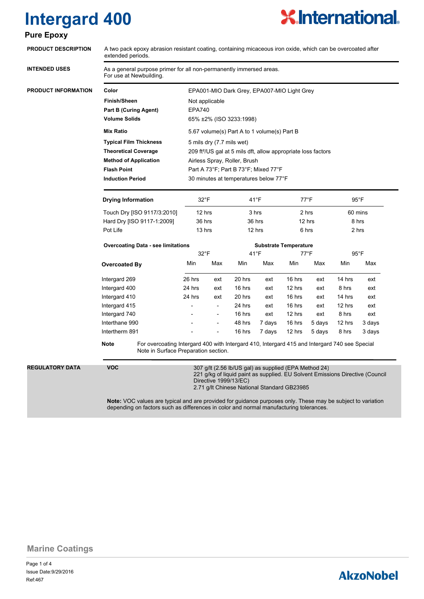# **Intergard 400**



| <b>PRODUCT DESCRIPTION</b> | A two pack epoxy abrasion resistant coating, containing micaceous iron oxide, which can be overcoated after<br>extended periods.<br>As a general purpose primer for all non-permanently immersed areas.<br>For use at Newbuilding. |                                                                           |                          |                              |        |                 |        |                |        |
|----------------------------|------------------------------------------------------------------------------------------------------------------------------------------------------------------------------------------------------------------------------------|---------------------------------------------------------------------------|--------------------------|------------------------------|--------|-----------------|--------|----------------|--------|
| <b>INTENDED USES</b>       |                                                                                                                                                                                                                                    |                                                                           |                          |                              |        |                 |        |                |        |
| <b>PRODUCT INFORMATION</b> | Color                                                                                                                                                                                                                              | EPA001-MIO Dark Grey, EPA007-MIO Light Grey                               |                          |                              |        |                 |        |                |        |
|                            | <b>Finish/Sheen</b>                                                                                                                                                                                                                |                                                                           | Not applicable           |                              |        |                 |        |                |        |
|                            | <b>Part B (Curing Agent)</b>                                                                                                                                                                                                       | <b>EPA740</b>                                                             |                          |                              |        |                 |        |                |        |
|                            | <b>Volume Solids</b>                                                                                                                                                                                                               | 65% ±2% (ISO 3233:1998)                                                   |                          |                              |        |                 |        |                |        |
|                            | <b>Mix Ratio</b>                                                                                                                                                                                                                   | 5.67 volume(s) Part A to 1 volume(s) Part B                               |                          |                              |        |                 |        |                |        |
|                            | <b>Typical Film Thickness</b>                                                                                                                                                                                                      | 5 mils dry (7.7 mils wet)                                                 |                          |                              |        |                 |        |                |        |
|                            | <b>Theoretical Coverage</b>                                                                                                                                                                                                        | 209 ft <sup>2</sup> /US gal at 5 mils dft, allow appropriate loss factors |                          |                              |        |                 |        |                |        |
|                            | <b>Method of Application</b>                                                                                                                                                                                                       | Airless Spray, Roller, Brush                                              |                          |                              |        |                 |        |                |        |
|                            | <b>Flash Point</b>                                                                                                                                                                                                                 | Part A 73°F; Part B 73°F; Mixed 77°F                                      |                          |                              |        |                 |        |                |        |
|                            | <b>Induction Period</b>                                                                                                                                                                                                            | 30 minutes at temperatures below 77°F                                     |                          |                              |        |                 |        |                |        |
|                            | <b>Drying Information</b>                                                                                                                                                                                                          | $32^{\circ}$ F                                                            |                          | $41^{\circ}F$                |        | $77^{\circ}$ F  |        | $95^{\circ}$ F |        |
|                            | Touch Dry [ISO 9117/3:2010]                                                                                                                                                                                                        | 12 hrs                                                                    |                          | 3 hrs                        |        | 2 hrs           |        | 60 mins        |        |
|                            | Hard Dry [ISO 9117-1:2009]                                                                                                                                                                                                         | 36 hrs<br>13 hrs                                                          |                          | 36 hrs<br>12 hrs             |        | 12 hrs<br>6 hrs |        | 8 hrs<br>2 hrs |        |
|                            | Pot Life                                                                                                                                                                                                                           |                                                                           |                          |                              |        |                 |        |                |        |
|                            | <b>Overcoating Data - see limitations</b>                                                                                                                                                                                          |                                                                           |                          | <b>Substrate Temperature</b> |        |                 |        |                |        |
|                            |                                                                                                                                                                                                                                    | 32°F                                                                      |                          | $41^{\circ}F$                |        | $77^{\circ}$ F  |        | $95^{\circ}$ F |        |
|                            | <b>Overcoated By</b>                                                                                                                                                                                                               | Min                                                                       | Max                      | Min                          | Max    | Min             | Max    | Min            | Max    |
|                            | Intergard 269                                                                                                                                                                                                                      | 26 hrs                                                                    | ext                      | 20 hrs                       | ext    | 16 hrs          | ext    | 14 hrs         | ext    |
|                            | Intergard 400                                                                                                                                                                                                                      | 24 hrs                                                                    | ext                      | 16 hrs                       | ext    | 12 hrs          | ext    | 8 hrs          | ext    |
|                            | Intergard 410                                                                                                                                                                                                                      | 24 hrs                                                                    | ext                      | 20 hrs                       | ext    | 16 hrs          | ext    | 14 hrs         | ext    |
|                            | Intergard 415                                                                                                                                                                                                                      |                                                                           | $\overline{\phantom{a}}$ | 24 hrs                       | ext    | 16 hrs          | ext    | 12 hrs         | ext    |
|                            | Intergard 740                                                                                                                                                                                                                      |                                                                           | $\overline{\phantom{a}}$ | 16 hrs                       | ext    | 12 hrs          | ext    | 8 hrs          | ext    |
|                            | Interthane 990                                                                                                                                                                                                                     |                                                                           | $\overline{\phantom{a}}$ | 48 hrs                       | 7 days | 16 hrs          | 5 days | 12 hrs         | 3 days |
|                            | Intertherm 891                                                                                                                                                                                                                     |                                                                           |                          | 16 hrs                       | 7 days | 12 hrs          | 5 days | 8 hrs          | 3 days |
|                            | For overcoating Intergard 400 with Intergard 410, Intergard 415 and Intergard 740 see Special<br>Note<br>Note in Surface Preparation section.                                                                                      |                                                                           |                          |                              |        |                 |        |                |        |
| <b>REGULATORY DATA</b>     | <b>VOC</b><br>307 g/lt (2.56 lb/US gal) as supplied (EPA Method 24)<br>221 g/kg of liquid paint as supplied. EU Solvent Emissions Directive (Council<br>Directive 1999/13/EC)<br>2.71 g/lt Chinese National Standard GB23985       |                                                                           |                          |                              |        |                 |        |                |        |

depending on factors such as differences in color and normal manufacturing tolerances.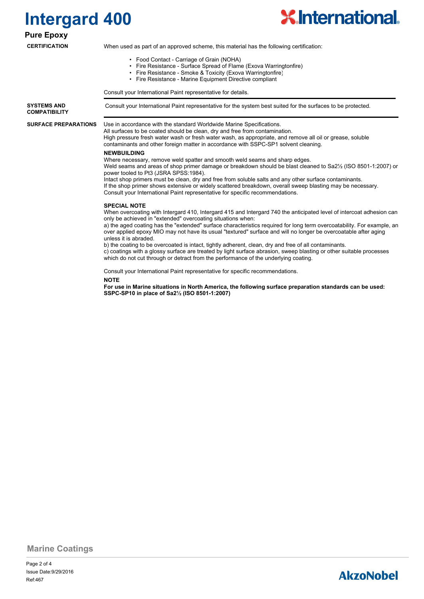



#### **Pure Epoxy**

#### **CERTIFICATION**

When used as part of an approved scheme, this material has the following certification:

- Food Contact Carriage of Grain (NOHA)
- Fire Resistance Surface Spread of Flame (Exova Warringtonfire)
- Fire Resistance Smoke & Toxicity (Exova Warringtonfire)
- Fire Resistance Marine Equipment Directive compliant

Consult your International Paint representative for details.

**SYSTEMS AND** Consult your International Paint representative for the system best suited for the surfaces to be protected. **COMPATIBILITY**

**SURFACE PREPARATIONS**

Use in accordance with the standard Worldwide Marine Specifications.

All surfaces to be coated should be clean, dry and free from contamination. High pressure fresh water wash or fresh water wash, as appropriate, and remove all oil or grease, soluble contaminants and other foreign matter in accordance with SSPC-SP1 solvent cleaning.

#### **NEWBUILDING**

Where necessary, remove weld spatter and smooth weld seams and sharp edges. Weld seams and areas of shop primer damage or breakdown should be blast cleaned to Sa2½ (ISO 8501-1:2007) or power tooled to Pt3 (JSRA SPSS:1984). Intact shop primers must be clean, dry and free from soluble salts and any other surface contaminants.

If the shop primer shows extensive or widely scattered breakdown, overall sweep blasting may be necessary. Consult your International Paint representative for specific recommendations.

#### **SPECIAL NOTE**

When overcoating with Intergard 410, Intergard 415 and Intergard 740 the anticipated level of intercoat adhesion can only be achieved in "extended" overcoating situations when:

a) the aged coating has the "extended" surface characteristics required for long term overcoatability. For example, an over applied epoxy MIO may not have its usual "textured" surface and will no longer be overcoatable after aging unless it is abraded.

b) the coating to be overcoated is intact, tightly adherent, clean, dry and free of all contaminants. c) coatings with a glossy surface are treated by light surface abrasion, sweep blasting or other suitable processes which do not cut through or detract from the performance of the underlying coating.

Consult your International Paint representative for specific recommendations.

#### **NOTE**

**For use in Marine situations in North America, the following surface preparation standards can be used: SSPC-SP10 in place of Sa2½ (ISO 8501-1:2007)**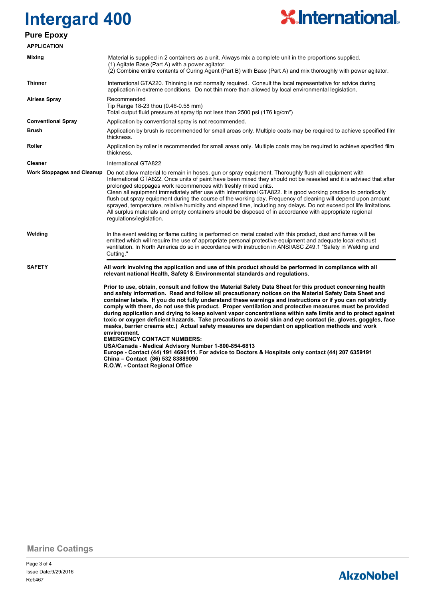### **Intergard 400 Pure Epoxy**

# **X.International.**

| <b>APPLICATION</b>                |                                                                                                                                                                                                                                                                                                                                                                                                                                                                                                                                                                                                                                                                                                                                                                                                                                                                                                                                                                                                                                                                               |  |  |  |
|-----------------------------------|-------------------------------------------------------------------------------------------------------------------------------------------------------------------------------------------------------------------------------------------------------------------------------------------------------------------------------------------------------------------------------------------------------------------------------------------------------------------------------------------------------------------------------------------------------------------------------------------------------------------------------------------------------------------------------------------------------------------------------------------------------------------------------------------------------------------------------------------------------------------------------------------------------------------------------------------------------------------------------------------------------------------------------------------------------------------------------|--|--|--|
| Mixing                            | Material is supplied in 2 containers as a unit. Always mix a complete unit in the proportions supplied.<br>(1) Agitate Base (Part A) with a power agitator.<br>(2) Combine entire contents of Curing Agent (Part B) with Base (Part A) and mix thoroughly with power agitator.                                                                                                                                                                                                                                                                                                                                                                                                                                                                                                                                                                                                                                                                                                                                                                                                |  |  |  |
| <b>Thinner</b>                    | International GTA220. Thinning is not normally required. Consult the local representative for advice during<br>application in extreme conditions. Do not thin more than allowed by local environmental legislation.                                                                                                                                                                                                                                                                                                                                                                                                                                                                                                                                                                                                                                                                                                                                                                                                                                                           |  |  |  |
| <b>Airless Spray</b>              | Recommended<br>Tip Range 18-23 thou (0.46-0.58 mm)<br>Total output fluid pressure at spray tip not less than 2500 psi (176 kg/cm <sup>2</sup> )                                                                                                                                                                                                                                                                                                                                                                                                                                                                                                                                                                                                                                                                                                                                                                                                                                                                                                                               |  |  |  |
| <b>Conventional Spray</b>         | Application by conventional spray is not recommended.                                                                                                                                                                                                                                                                                                                                                                                                                                                                                                                                                                                                                                                                                                                                                                                                                                                                                                                                                                                                                         |  |  |  |
| Brush                             | Application by brush is recommended for small areas only. Multiple coats may be required to achieve specified film<br>thickness.                                                                                                                                                                                                                                                                                                                                                                                                                                                                                                                                                                                                                                                                                                                                                                                                                                                                                                                                              |  |  |  |
| <b>Roller</b>                     | Application by roller is recommended for small areas only. Multiple coats may be required to achieve specified film<br>thickness.                                                                                                                                                                                                                                                                                                                                                                                                                                                                                                                                                                                                                                                                                                                                                                                                                                                                                                                                             |  |  |  |
| <b>Cleaner</b>                    | International GTA822                                                                                                                                                                                                                                                                                                                                                                                                                                                                                                                                                                                                                                                                                                                                                                                                                                                                                                                                                                                                                                                          |  |  |  |
| <b>Work Stoppages and Cleanup</b> | Do not allow material to remain in hoses, gun or spray equipment. Thoroughly flush all equipment with<br>International GTA822. Once units of paint have been mixed they should not be resealed and it is advised that after<br>prolonged stoppages work recommences with freshly mixed units.<br>Clean all equipment immediately after use with International GTA822. It is good working practice to periodically<br>flush out spray equipment during the course of the working day. Frequency of cleaning will depend upon amount<br>sprayed, temperature, relative humidity and elapsed time, including any delays. Do not exceed pot life limitations.<br>All surplus materials and empty containers should be disposed of in accordance with appropriate regional<br>regulations/legislation.                                                                                                                                                                                                                                                                             |  |  |  |
| Welding                           | In the event welding or flame cutting is performed on metal coated with this product, dust and fumes will be<br>emitted which will require the use of appropriate personal protective equipment and adequate local exhaust<br>ventilation. In North America do so in accordance with instruction in ANSI/ASC Z49.1 "Safety in Welding and<br>Cutting."                                                                                                                                                                                                                                                                                                                                                                                                                                                                                                                                                                                                                                                                                                                        |  |  |  |
| <b>SAFETY</b>                     | All work involving the application and use of this product should be performed in compliance with all<br>relevant national Health, Safety & Environmental standards and regulations.                                                                                                                                                                                                                                                                                                                                                                                                                                                                                                                                                                                                                                                                                                                                                                                                                                                                                          |  |  |  |
|                                   | Prior to use, obtain, consult and follow the Material Safety Data Sheet for this product concerning health<br>and safety information. Read and follow all precautionary notices on the Material Safety Data Sheet and<br>container labels. If you do not fully understand these warnings and instructions or if you can not strictly<br>comply with them, do not use this product. Proper ventilation and protective measures must be provided<br>during application and drying to keep solvent vapor concentrations within safe limits and to protect against<br>toxic or oxygen deficient hazards. Take precautions to avoid skin and eye contact (ie. gloves, goggles, face<br>masks, barrier creams etc.) Actual safety measures are dependant on application methods and work<br>environment.<br><b>EMERGENCY CONTACT NUMBERS:</b><br>USA/Canada - Medical Advisory Number 1-800-854-6813<br>Europe - Contact (44) 191 4696111. For advice to Doctors & Hospitals only contact (44) 207 6359191<br>China - Contact (86) 532 83889090<br>R.O.W. - Contact Regional Office |  |  |  |

**Marine Coatings**